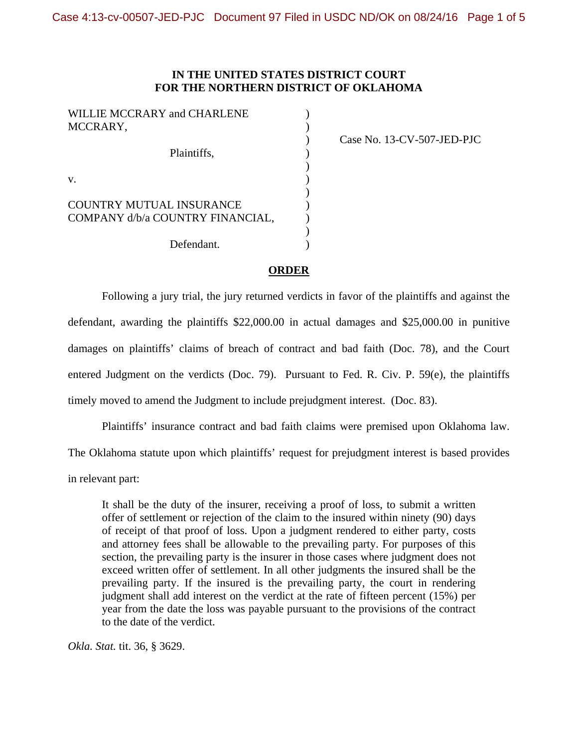## **IN THE UNITED STATES DISTRICT COURT FOR THE NORTHERN DISTRICT OF OKLAHOMA**

| WILLIE MCCRARY and CHARLENE<br>MCCRARY,                      |  |
|--------------------------------------------------------------|--|
| Plaintiffs,                                                  |  |
| $V_{\cdot}$                                                  |  |
| COUNTRY MUTUAL INSURANCE<br>COMPANY d/b/a COUNTRY FINANCIAL, |  |
| Defendant.                                                   |  |

) Case No. 13-CV-507-JED-PJC

## **ORDER**

 Following a jury trial, the jury returned verdicts in favor of the plaintiffs and against the defendant, awarding the plaintiffs \$22,000.00 in actual damages and \$25,000.00 in punitive damages on plaintiffs' claims of breach of contract and bad faith (Doc. 78), and the Court entered Judgment on the verdicts (Doc. 79). Pursuant to Fed. R. Civ. P. 59(e), the plaintiffs timely moved to amend the Judgment to include prejudgment interest. (Doc. 83).

 Plaintiffs' insurance contract and bad faith claims were premised upon Oklahoma law. The Oklahoma statute upon which plaintiffs' request for prejudgment interest is based provides in relevant part:

It shall be the duty of the insurer, receiving a proof of loss, to submit a written offer of settlement or rejection of the claim to the insured within ninety (90) days of receipt of that proof of loss. Upon a judgment rendered to either party, costs and attorney fees shall be allowable to the prevailing party. For purposes of this section, the prevailing party is the insurer in those cases where judgment does not exceed written offer of settlement. In all other judgments the insured shall be the prevailing party. If the insured is the prevailing party, the court in rendering judgment shall add interest on the verdict at the rate of fifteen percent (15%) per year from the date the loss was payable pursuant to the provisions of the contract to the date of the verdict.

*Okla. Stat.* tit. 36, § 3629.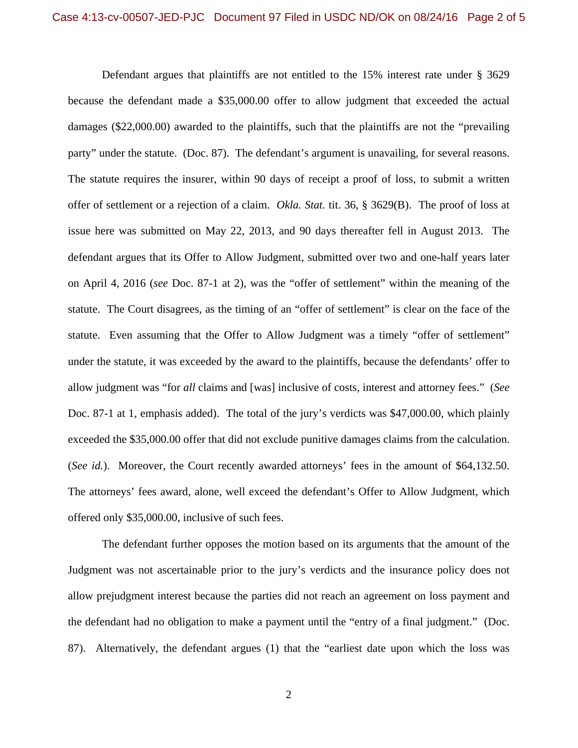Defendant argues that plaintiffs are not entitled to the 15% interest rate under § 3629 because the defendant made a \$35,000.00 offer to allow judgment that exceeded the actual damages (\$22,000.00) awarded to the plaintiffs, such that the plaintiffs are not the "prevailing party" under the statute. (Doc. 87). The defendant's argument is unavailing, for several reasons. The statute requires the insurer, within 90 days of receipt a proof of loss, to submit a written offer of settlement or a rejection of a claim. *Okla. Stat.* tit. 36, § 3629(B). The proof of loss at issue here was submitted on May 22, 2013, and 90 days thereafter fell in August 2013. The defendant argues that its Offer to Allow Judgment, submitted over two and one-half years later on April 4, 2016 (*see* Doc. 87-1 at 2), was the "offer of settlement" within the meaning of the statute. The Court disagrees, as the timing of an "offer of settlement" is clear on the face of the statute. Even assuming that the Offer to Allow Judgment was a timely "offer of settlement" under the statute, it was exceeded by the award to the plaintiffs, because the defendants' offer to allow judgment was "for *all* claims and [was] inclusive of costs, interest and attorney fees." (*See*  Doc. 87-1 at 1, emphasis added). The total of the jury's verdicts was \$47,000.00, which plainly exceeded the \$35,000.00 offer that did not exclude punitive damages claims from the calculation. (*See id.*). Moreover, the Court recently awarded attorneys' fees in the amount of \$64,132.50. The attorneys' fees award, alone, well exceed the defendant's Offer to Allow Judgment, which offered only \$35,000.00, inclusive of such fees.

 The defendant further opposes the motion based on its arguments that the amount of the Judgment was not ascertainable prior to the jury's verdicts and the insurance policy does not allow prejudgment interest because the parties did not reach an agreement on loss payment and the defendant had no obligation to make a payment until the "entry of a final judgment." (Doc. 87). Alternatively, the defendant argues (1) that the "earliest date upon which the loss was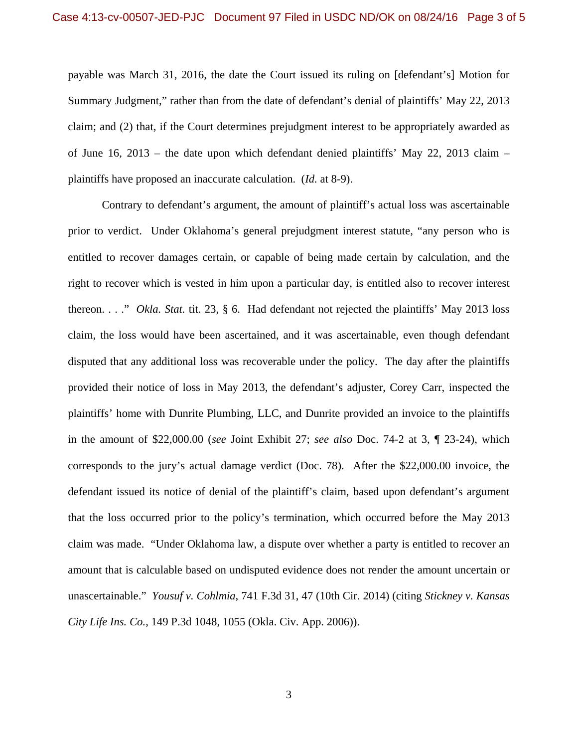payable was March 31, 2016, the date the Court issued its ruling on [defendant's] Motion for Summary Judgment," rather than from the date of defendant's denial of plaintiffs' May 22, 2013 claim; and (2) that, if the Court determines prejudgment interest to be appropriately awarded as of June 16, 2013 – the date upon which defendant denied plaintiffs' May 22, 2013 claim – plaintiffs have proposed an inaccurate calculation. (*Id.* at 8-9).

 Contrary to defendant's argument, the amount of plaintiff's actual loss was ascertainable prior to verdict. Under Oklahoma's general prejudgment interest statute, "any person who is entitled to recover damages certain, or capable of being made certain by calculation, and the right to recover which is vested in him upon a particular day, is entitled also to recover interest thereon. . . ." *Okla. Stat.* tit. 23, § 6. Had defendant not rejected the plaintiffs' May 2013 loss claim, the loss would have been ascertained, and it was ascertainable, even though defendant disputed that any additional loss was recoverable under the policy. The day after the plaintiffs provided their notice of loss in May 2013, the defendant's adjuster, Corey Carr, inspected the plaintiffs' home with Dunrite Plumbing, LLC, and Dunrite provided an invoice to the plaintiffs in the amount of \$22,000.00 (*see* Joint Exhibit 27; *see also* Doc. 74-2 at 3, ¶ 23-24), which corresponds to the jury's actual damage verdict (Doc. 78). After the \$22,000.00 invoice, the defendant issued its notice of denial of the plaintiff's claim, based upon defendant's argument that the loss occurred prior to the policy's termination, which occurred before the May 2013 claim was made. "Under Oklahoma law, a dispute over whether a party is entitled to recover an amount that is calculable based on undisputed evidence does not render the amount uncertain or unascertainable." *Yousuf v. Cohlmia*, 741 F.3d 31, 47 (10th Cir. 2014) (citing *Stickney v. Kansas City Life Ins. Co.*, 149 P.3d 1048, 1055 (Okla. Civ. App. 2006)).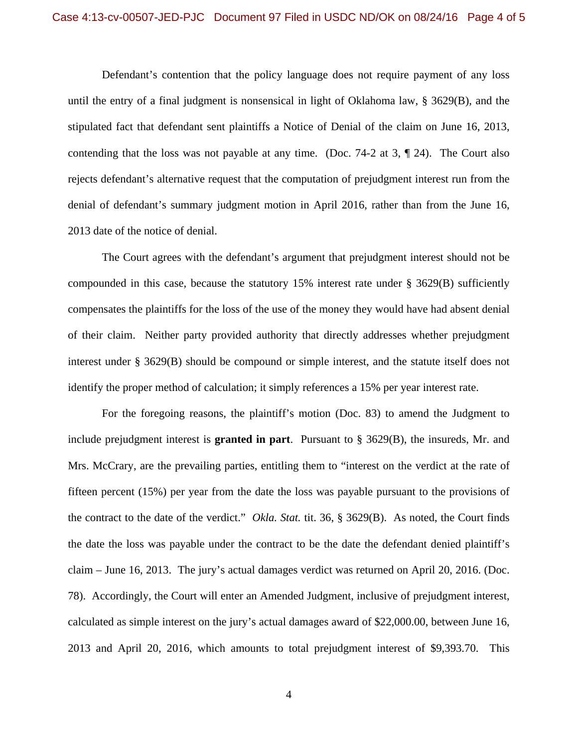Defendant's contention that the policy language does not require payment of any loss until the entry of a final judgment is nonsensical in light of Oklahoma law, § 3629(B), and the stipulated fact that defendant sent plaintiffs a Notice of Denial of the claim on June 16, 2013, contending that the loss was not payable at any time. (Doc. 74-2 at 3, ¶ 24). The Court also rejects defendant's alternative request that the computation of prejudgment interest run from the denial of defendant's summary judgment motion in April 2016, rather than from the June 16, 2013 date of the notice of denial.

 The Court agrees with the defendant's argument that prejudgment interest should not be compounded in this case, because the statutory 15% interest rate under § 3629(B) sufficiently compensates the plaintiffs for the loss of the use of the money they would have had absent denial of their claim. Neither party provided authority that directly addresses whether prejudgment interest under § 3629(B) should be compound or simple interest, and the statute itself does not identify the proper method of calculation; it simply references a 15% per year interest rate.

 For the foregoing reasons, the plaintiff's motion (Doc. 83) to amend the Judgment to include prejudgment interest is **granted in part**. Pursuant to § 3629(B), the insureds, Mr. and Mrs. McCrary, are the prevailing parties, entitling them to "interest on the verdict at the rate of fifteen percent (15%) per year from the date the loss was payable pursuant to the provisions of the contract to the date of the verdict." *Okla. Stat.* tit. 36, § 3629(B). As noted, the Court finds the date the loss was payable under the contract to be the date the defendant denied plaintiff's claim – June 16, 2013. The jury's actual damages verdict was returned on April 20, 2016. (Doc. 78). Accordingly, the Court will enter an Amended Judgment, inclusive of prejudgment interest, calculated as simple interest on the jury's actual damages award of \$22,000.00, between June 16, 2013 and April 20, 2016, which amounts to total prejudgment interest of \$9,393.70. This